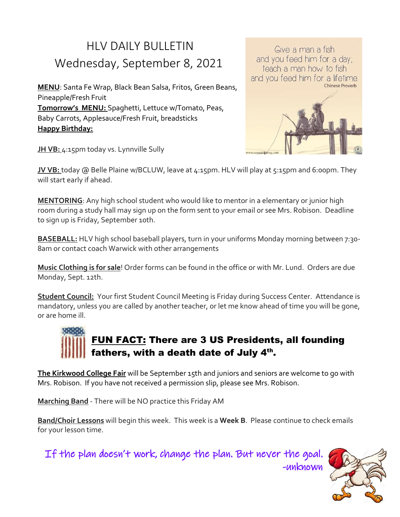## HLV DAILY BULLETIN Wednesday, September 8, 2021

**MENU**: Santa Fe Wrap, Black Bean Salsa, Fritos, Green Beans, Pineapple/Fresh Fruit **Tomorrow's MENU:** Spaghetti, Lettuce w/Tomato, Peas, Baby Carrots, Applesauce/Fresh Fruit, breadsticks **Happy Birthday:**



Give a man a fish and you feed him for a day;

**JH VB:** 4:15pm today vs. Lynnville Sully

**JV VB:** today @ Belle Plaine w/BCLUW, leave at 4:15pm. HLV will play at 5:15pm and 6:00pm. They will start early if ahead.

**MENTORING**: Any high school student who would like to mentor in a elementary or junior high room during a study hall may sign up on the form sent to your email or see Mrs. Robison. Deadline to sign up is Friday, September 10th.

**BASEBALL:** HLV high school baseball players, turn in your uniforms Monday morning between 7:30- 8am or contact coach Warwick with other arrangements

**Music Clothing is for sale**! Order forms can be found in the office or with Mr. Lund. Orders are due Monday, Sept. 12th.

**Student Council:** Your first Student Council Meeting is Friday during Success Center. Attendance is mandatory, unless you are called by another teacher, or let me know ahead of time you will be gone, or are home ill.

## FUN FACT: There are 3 US Presidents, all founding fathers, with a death date of July  $4^{\text{th}}$ .

**The Kirkwood College Fair** will be September 15th and juniors and seniors are welcome to go with Mrs. Robison. If you have not received a permission slip, please see Mrs. Robison.

**Marching Band** - There will be NO practice this Friday AM

**Band/Choir Lessons** will begin this week. This week is a **Week B**. Please continue to check emails for your lesson time.

If the plan doesn't work, change the plan. But never the goal.



-unknown